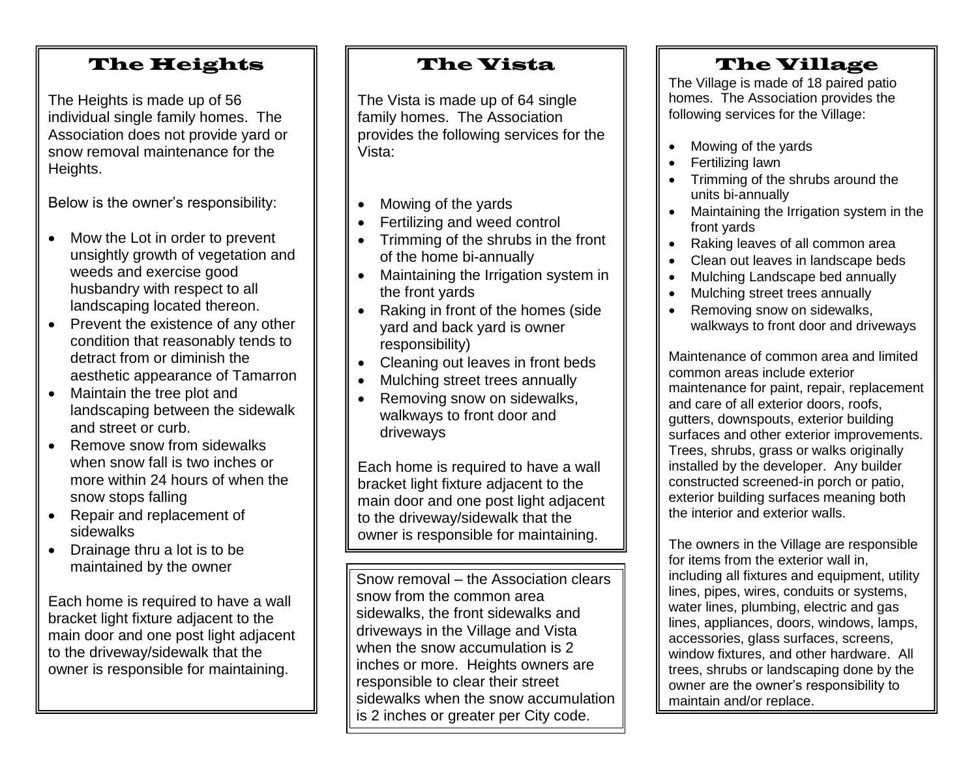### The Heights

The Heights is made up of 56 individual single family homes. The Association does not provide yard or snow removal maintenance for the Heights.

Below is the owner's responsibility:

- Mow the Lot in order to prevent unsightly growth of vegetation and weeds and exercise good husbandry with respect to all landscaping located thereon.
- Prevent the existence of any other condition that reasonably tends to detract from or diminish the aesthetic appearance of Tamarron
- Maintain the tree plot and landscaping between the sidewalk and street or curb.
- Remove snow from sidewalks when snow fall is two inches or more within 24 hours of when the snow stops falling
- Repair and replacement of sidewalks
- Drainage thru a lot is to be maintained by the owner

Each home is required to have a wall bracket light fixture adjacent to the main door and one post light adjacent to the driveway/sidewalk that the owner is responsible for maintaining.

## The Vista

The Vista is made up of 64 single family homes. The Association provides the following services for the Vista:

- Mowing of the yards
- Fertilizing and weed control
- Trimming of the shrubs in the front of the home bi-annually
- Maintaining the Irrigation system in the front yards
- Raking in front of the homes (side yard and back yard is owner responsibility)
- Cleaning out leaves in front beds
- Mulching street trees annually
- Removing snow on sidewalks, walkways to front door and driveways

Each home is required to have a wall bracket light fixture adjacent to the main door and one post light adjacent to the driveway/sidewalk that the owner is responsible for maintaining.

Snow removal – the Association clears snow from the common area sidewalks, the front sidewalks and driveways in the Village and Vista when the snow accumulation is 2 inches or more. Heights owners are responsible to clear their street sidewalks when the snow accumulation is 2 inches or greater per City code.

## The Village

The Village is made of 18 paired patio homes. The Association provides the following services for the Village:

- Mowing of the yards
- Fertilizing lawn
- Trimming of the shrubs around the units bi-annually
- Maintaining the Irrigation system in the front yards
- Raking leaves of all common area
- Clean out leaves in landscape beds
- Mulching Landscape bed annually
- Mulching street trees annually
- Removing snow on sidewalks, walkways to front door and driveways

Maintenance of common area and limited common areas include exterior maintenance for paint, repair, replacement and care of all exterior doors, roofs, gutters, downspouts, exterior building surfaces and other exterior improvements. Trees, shrubs, grass or walks originally installed by the developer. Any builder constructed screened-in porch or patio, exterior building surfaces meaning both the interior and exterior walls.

The owners in the Village are responsible for items from the exterior wall in, including all fixtures and equipment, utility lines, pipes, wires, conduits or systems, water lines, plumbing, electric and gas lines, appliances, doors, windows, lamps, accessories, glass surfaces, screens, window fixtures, and other hardware. All trees, shrubs or landscaping done by the owner are the owner's responsibility to maintain and/or replace.